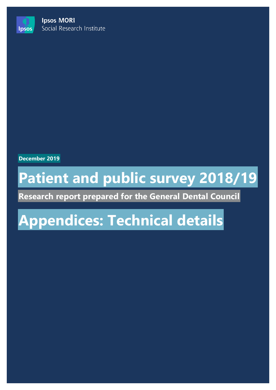**Ipsos MORI** Social Research Institute

**December 2019**

**Ipsos** 

# **Patient and public survey 2018/19**

**Research report prepared for the General Dental Council**

# **Appendices: Technical details**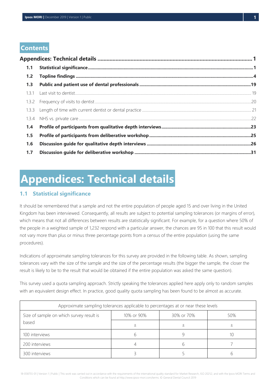## **Contents**

| 1.1   |  |
|-------|--|
| $1.2$ |  |
| 1.3   |  |
|       |  |
|       |  |
|       |  |
|       |  |
| 1.4   |  |
| 1.5   |  |
| 1.6   |  |
| 1.7   |  |

## <span id="page-1-0"></span>**Appendices: Technical details**

## <span id="page-1-1"></span>**1.1 Statistical significance**

It should be remembered that a sample and not the entire population of people aged 15 and over living in the United Kingdom has been interviewed. Consequently, all results are subject to potential sampling tolerances (or margins of error), which means that not all differences between results are statistically significant. For example, for a question where 50% of the people in a weighted sample of 1,232 respond with a particular answer, the chances are 95 in 100 that this result would not vary more than plus or minus three percentage points from a census of the entire population (using the same procedures).

Indications of approximate sampling tolerances for this survey are provided in the following table. As shown, sampling tolerances vary with the size of the sample and the size of the percentage results (the bigger the sample, the closer the result is likely to be to the result that would be obtained if the entire population was asked the same question).

This survey used a quota sampling approach. Strictly speaking the tolerances applied here apply only to random samples with an equivalent design effect. In practice, good quality quota sampling has been found to be almost as accurate.

| Approximate sampling tolerances applicable to percentages at or near these levels |            |            |    |  |  |  |
|-----------------------------------------------------------------------------------|------------|------------|----|--|--|--|
| Size of sample on which survey result is<br>based                                 | 10% or 90% | 30% or 70% |    |  |  |  |
|                                                                                   |            |            |    |  |  |  |
| 100 interviews                                                                    |            |            | 10 |  |  |  |
| 200 interviews                                                                    |            |            |    |  |  |  |
| 300 interviews                                                                    |            |            |    |  |  |  |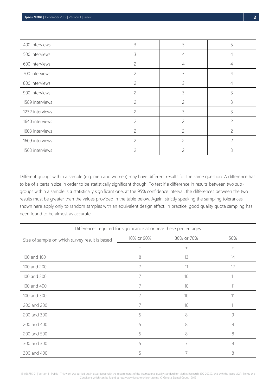| 400 interviews  | 3              | 5              | 5              |
|-----------------|----------------|----------------|----------------|
| 500 interviews  | 3              | 4              | 4              |
| 600 interviews  | $\overline{c}$ | $\overline{4}$ | 4              |
| 700 interviews  | 2              | 3              | 4              |
| 800 interviews  | 2              | 3              | 4              |
| 900 interviews  | $\mathcal{P}$  | 3              | 3              |
| 1589 interviews | 2              | 2              | 3              |
| 1232 interviews | 2              | 3              | 3              |
| 1640 interviews | 2              | $\overline{c}$ | $\mathcal{P}$  |
| 1603 interviews | 2              | $\overline{c}$ | $\overline{c}$ |
| 1609 interviews | 2              | $\overline{c}$ | $\overline{c}$ |
| 1563 interviews |                | $\mathcal{P}$  | ζ              |

Different groups within a sample (e.g. men and women) may have different results for the same question. A difference has to be of a certain size in order to be statistically significant though. To test if a difference in results between two subgroups within a sample is a statistically significant one, at the 95% confidence interval, the differences between the two results must be greater than the values provided in the table below. Again, strictly speaking the sampling tolerances shown here apply only to random samples with an equivalent design effect. In practice, good quality quota sampling has been found to be almost as accurate.

| Differences required for significance at or near these percentages |            |            |     |  |  |
|--------------------------------------------------------------------|------------|------------|-----|--|--|
| Size of sample on which survey result is based                     | 10% or 90% | 30% or 70% | 50% |  |  |
|                                                                    | $\pm$      | $\pm$      | 土   |  |  |
| 100 and 100                                                        | 8          | 13         | 14  |  |  |
| 100 and 200                                                        | 7          | 11         | 12  |  |  |
| 100 and 300                                                        |            | 10         | 11  |  |  |
| 100 and 400                                                        | 7          | 10         | 11  |  |  |
| 100 and 500                                                        | 7          | 10         | 11  |  |  |
| 200 and 200                                                        |            | 10         | 11  |  |  |
| 200 and 300                                                        | 5          | 8          | 9   |  |  |
| 200 and 400                                                        | 5          | 8          | 9   |  |  |
| 200 and 500                                                        | 5          | 8          | 8   |  |  |
| 300 and 300                                                        | 5          | 7          | 8   |  |  |
| 300 and 400                                                        | 5          |            | 8   |  |  |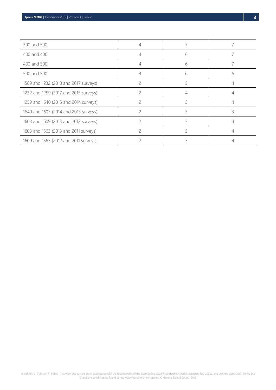| 300 and 500                           | 4 |   |   |
|---------------------------------------|---|---|---|
| 400 and 400                           |   | 6 |   |
| 400 and 500                           | 4 | 6 |   |
| 500 and 500                           |   | 6 | h |
| 1589 and 1232 (2018 and 2017 surveys) |   | 3 |   |
| 1232 and 1259 (2017 and 2015 surveys) |   | 4 |   |
| 1259 and 1640 (2015 and 2014 surveys) |   | ੨ |   |
| 1640 and 1603 (2014 and 2013 surveys) |   | ξ | 3 |
| 1603 and 1609 (2013 and 2012 surveys) |   | ζ |   |
| 1603 and 1563 (2013 and 2011 surveys) |   | ੨ |   |
| 1609 and 1563 (2012 and 2011 surveys) |   |   |   |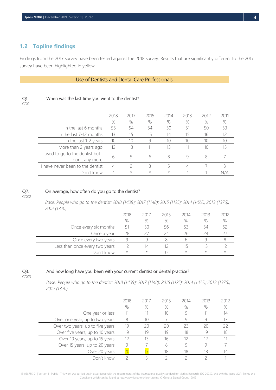## <span id="page-4-0"></span>**1.2 Topline findings**

Findings from the 2017 survey have been tested against the 2018 survey. Results that are significantly different to the 2017 survey have been highlighted in yellow.

#### Use of Dentists and Dental Care Professionals

| w<br>w<br>I  |
|--------------|
| ×<br>×<br>۰. |

|                                                     | 2018<br>% | 2017<br>$\%$ | 2015<br>% | 2014<br>% | 2013<br>% | 2012<br>$\%$ | 2011<br>% |
|-----------------------------------------------------|-----------|--------------|-----------|-----------|-----------|--------------|-----------|
| In the last 6 months                                | 55        | 54           | 54        | 50        | 51        | 50           | 53        |
| In the last 7-12 months                             | 13        | 15           | 15        | 14        | 15        | 16           | 12        |
| In the last 1-2 years                               | 10        | 10           | Ч         | 10        |           | 10           |           |
| More than 2 years ago                               | 12        | 13           |           | 13        |           | 10           | 15        |
| I used to go to the dentist but I<br>don't any more | 6         |              | 6         | 8         |           | 8            |           |
| I have never been to the dentist                    |           |              |           |           |           |              |           |
| Don't know                                          | $\star$   | $\star$      | $\star$   | $\star$   | $\star$   |              |           |

#### Q2. On average, how often do you go to the dentist?

When was the last time you went to the dentist?

#### GD02

*Base: People who go to the dentist: 2018 (1439); 2017 (1148); 2015 (1125); 2014 (1422); 2013 (1376); 2012 (1320)*

|                                | 2018    | 2017    | 2015 | 2014    | 2013    | 2012    |
|--------------------------------|---------|---------|------|---------|---------|---------|
|                                | %       | %       | %    | %       | %       | %       |
| Once every six months          | 51      | 50      | מל   | 53      | 54      |         |
| Once a year                    | 28      |         |      | 26      | 24      |         |
| Once every two years           |         |         |      |         |         |         |
| Less than once every two years | 12      | 14      |      | 15      |         |         |
| Don't know                     | $\star$ | $\star$ |      | $\star$ | $\star$ | $\star$ |

## Q3.

And how long have you been with your current dentist or dental practice?

GD03

*Base: People who go to the dentist: 2018 (1439); 2017 (1148); 2015 (1125): 2014 (1422); 2013 (1376); 2012 (1320)*

|                                  | 2018 | 2017 | 2015 | 2014 | 2013 | 2012 |
|----------------------------------|------|------|------|------|------|------|
|                                  | %    | $\%$ | %    | $\%$ | %    | %    |
| One year or less                 |      |      | 10   |      |      | 14   |
| Over one year, up to two years   | 8    | 10   |      |      |      | 13   |
| Over two years, up to five years | 19   | 20   |      | 23   | 20   | 22   |
| Over five years, up to 10 years  | 19   | 19   | 19   | 18   | 19   | 18   |
| Over 10 years, up to 15 years    | 12   |      | 16   | 12   | 12   |      |
| Over 15 years, up to 20 years    | 9    |      |      |      |      |      |
| Over 20 years                    | 20   |      | 18   | 18   | 18   | 14   |
| Don't know                       |      |      |      |      |      |      |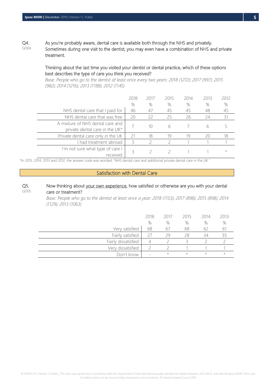Q4. GD04 As you're probably aware, dental care is available both through the NHS and privately. Sometimes during one visit to the dentist, you may even have a combination of NHS and private treatment.

#### Thinking about the last time you visited your dentist or dental practice, which of these options best describes the type of care you think you received?

*Base: People who go to the dentist at least once every two years: 2018 (1272); 2017 (997); 2015 (982); 2014 (1216); 2013 (1188); 2012 (1145)*

|                                                                    | 2018<br>$\%$ | 2017<br>% | 2015<br>% | 2014<br>% | 2013<br>% | 2012<br>$\%$ |
|--------------------------------------------------------------------|--------------|-----------|-----------|-----------|-----------|--------------|
| NHS dental care that I paid for                                    | 46           | 47        | 45        | 45        | 48        | 45           |
| NHS dental care that was free                                      | 20           | 22        | 25        | 26        | 24        | 31           |
| A mixture of NHS dental care and<br>private dental care in the UK* |              | 10        | h         |           |           |              |
| Private dental care only in the UK                                 | 21           | 18        | 19        | 19        | 20        | 18           |
| I had treatment abroad                                             | 3            |           |           |           |           |              |
| I'm not sure what type of care I<br>received                       | 3            |           |           |           |           | $^{\star}$   |

\*In 2015, 2014, 2013 and 2012, the answer code was worded: 'NHS dental care and additional private dental care in the UK.'

#### Satisfaction with Dental Care

#### Q5. GD05 Now thinking about your own experience, how satisfied or otherwise are you with your dental care or treatment?

*Base: People who go to the dentist at least once a year: 2018 (1153); 2017 (898); 2015 (898); 2014 (1129); 2013 (1063)*

|                     | 2018<br>% | 2017<br>% | 2015<br>% | 2014<br>% | 2013<br>$\%$ |
|---------------------|-----------|-----------|-----------|-----------|--------------|
| Very satisfied      | 68        | 6,        | 68        | 62        | 61           |
| Fairly satisfied    | 27        | 29        | 28        | 34        |              |
| Fairly dissatisfied |           |           |           |           |              |
| Very dissatisfied   |           |           |           |           |              |
| Don't know          |           | $\star$   | $\star$   | $\star$   | $\star$      |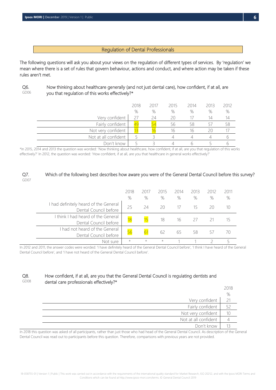#### Regulation of Dental Professionals

The following questions will ask you about your views on the regulation of different types of services. By 'regulation' we mean where there is a set of rules that govern behaviour, actions and conduct, and where action may be taken if these rules aren't met.

Q6. GD06

 Now thinking about healthcare generally (and not just dental care), how confident, if at all, are you that regulation of this works effectively?\*

|                      | 2018 | 2017 | 2015 | 2014 | 2013 | 2012 |
|----------------------|------|------|------|------|------|------|
|                      | %    | %    | %    | %    | %    | %    |
| Very confident       | 27   | 24   | 20   |      | 14   | 14   |
| Fairly confident     | 49   |      | 56   | 58   |      | 58   |
| Not very confident   |      |      | 16   | 16   | 20   |      |
| Not at all confident |      |      |      |      |      |      |
| Don't know           |      |      |      |      |      |      |

\*In 2015, 2014 and 2013 the question was worded: 'Now thinking about healthcare, how confident, if at all, are you that regulation of this works effectively?' In 2012, the question was worded: 'How confident, if at all, are you that healthcare in general works effectively?'

#### Q7. GD07 Which of the following best describes how aware you were of the General Dental Council before this survey?

|                                                                | 2018<br>% | 2017<br>$\%$ | 2015<br>$\%$ | 2014<br>% | 2013<br>% | 2012<br>% | 2011<br>% |
|----------------------------------------------------------------|-----------|--------------|--------------|-----------|-----------|-----------|-----------|
| I had definitely heard of the General<br>Dental Council before | 25        | 24           | 20           |           | 15        |           |           |
| I think I had heard of the General<br>Dental Council before    | 18        |              | 18           | 16        | 27        |           |           |
| had not heard of the General<br>Dental Council before          | 56        |              |              | 65        | 58        |           |           |
| Not sure                                                       | $\star$   | $\star$      | $\star$      |           |           |           |           |

In 2012 and 2011, the answer codes were worded: 'I have definitely heard of the General Dental Council before', 'I think I have heard of the General Dental Council before', and 'I have not heard of the General Dental Council before'.

#### Q8. GD08 How confident, if at all, are you that the General Dental Council is regulating dentists and dental care professionals effectively?\*

|                      | 2018 |
|----------------------|------|
|                      | $\%$ |
| Very confident       | 21   |
| Fairly confident     | 52   |
| Not very confident   | 10   |
| Not at all confident |      |
| Don't know           |      |

In 2018 this question was asked of all participants, rather than just those who had head of the General Dental Council. As description of the General Dental Council was read out to participants before this question. Therefore, comparisons with previous years are not provided.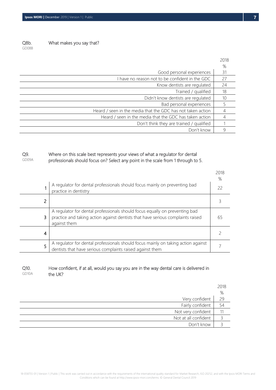Q8b.

What makes you say that?

GD08B

|                                                             | 2018 |
|-------------------------------------------------------------|------|
|                                                             | %    |
| Good personal experiences                                   | 31   |
| I have no reason not to be confident in the GDC             | 27   |
| Know dentists are regulated                                 | 24   |
| Trained / qualified                                         | 18   |
| Didn't know dentists are regulated                          | 10   |
| Bad personal experiences                                    |      |
| Heard / seen in the media that the GDC has not taken action |      |
| Heard / seen in the media that the GDC has taken action     |      |
| Don't think they are trained / qualified                    |      |
| Don't know                                                  |      |

#### Q9. GD09A Where on this scale best represents your views of what a regulator for dental professionals should focus on? Select any point in the scale from 1 through to 5.

|   |                                                                                                                                                                                | 2018<br>% |
|---|--------------------------------------------------------------------------------------------------------------------------------------------------------------------------------|-----------|
|   | A regulator for dental professionals should focus mainly on preventing bad<br>practice in dentistry                                                                            | 22        |
| 2 |                                                                                                                                                                                |           |
| 3 | A regulator for dental professionals should focus equally on preventing bad<br>practice and taking action against dentists that have serious complaints raised<br>against them | 65        |
| 4 |                                                                                                                                                                                |           |
| 5 | A regulator for dental professionals should focus mainly on taking action against<br>dentists that have serious complaints raised against them                                 |           |

#### Q10. GD10A How confident, if at all, would you say you are in the way dental care is delivered in the UK?

|                      | 2018 |
|----------------------|------|
|                      | %    |
| Very confident       | 29   |
| Fairly confident     | 54   |
| Not very confident   |      |
| Not at all confident |      |
| Don't know           |      |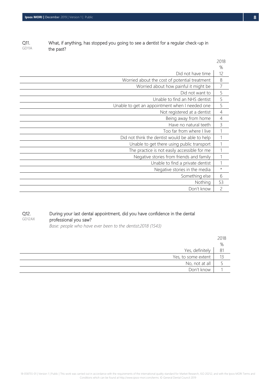| Q11.  | What, if anything, has stopped you going to see a dentist for a regular check-up in |
|-------|-------------------------------------------------------------------------------------|
| GD11A | the past?                                                                           |

|                                                 | 2018           |
|-------------------------------------------------|----------------|
|                                                 | ℅              |
| Did not have time                               | 12             |
| Worried about the cost of potential treatment   | 8              |
| Worried about how painful it might be           | 7              |
| Did not want to                                 | 5              |
| Unable to find an NHS dentist                   | 5              |
| Unable to get an appointment when I needed one  | 5              |
| Not registered at a dentist                     | $\overline{4}$ |
| Being away from home                            | $\overline{4}$ |
| Have no natural teeth                           | 3              |
| Too far from where I live                       |                |
| Did not think the dentist would be able to help |                |
| Unable to get there using public transport      |                |
| The practice is not easily accessible for me    |                |
| Negative stories from friends and family        |                |
| Unable to find a private dentist                |                |
| Negative stories in the media                   | $\star$        |
| Something else                                  | 6              |
| Nothing                                         | 53             |
| Don't know                                      | $\overline{c}$ |

#### Q12. GD12AX During your last dental appointment, did you have confidence in the dental professional you saw?

*Base: people who have ever been to the dentist:2018 (1543)*

|                     | 2018 |
|---------------------|------|
|                     | %    |
| Yes, definitely     | 81   |
| Yes, to some extent | 13   |
| No, not at all      |      |
| Don't know          |      |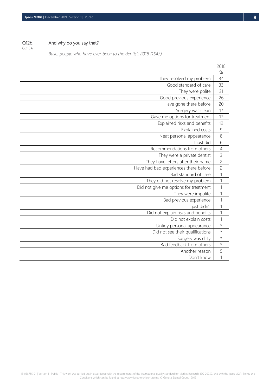Q12b. And why do you say that?

GD13A

*Base: people who have ever been to the dentist: 2018 (1543)*

|                                       | 2018           |
|---------------------------------------|----------------|
|                                       | %              |
| They resolved my problem              | 34             |
| Good standard of care                 | 33             |
| They were polite                      | 31             |
| Good previous experience              | 26             |
| Have gone there before                | 20             |
| Surgery was clean                     | 17             |
| Gave me options for treatment         | 17             |
| Explained risks and benefits          | 12             |
| Explained costs                       | 9              |
| Neat personal appearance              | 8              |
| I just did                            | 6              |
| Recommendations from others           | $\overline{4}$ |
| They were a private dentist           | 3              |
| They have letters after their name    | $\overline{c}$ |
| Have had bad experiences there before | $\overline{c}$ |
| Bad standard of care                  | $\mathbf{1}$   |
| They did not resolve my problem       | $\overline{1}$ |
| Did not give me options for treatment | $\overline{1}$ |
| They were impolite                    | 1              |
| Bad previous experience               | $\mathbf 1$    |
| I just didn't                         | 1              |
| Did not explain risks and benefits    | 1              |
| Did not explain costs                 | 1              |
| Untidy personal appearance            | $\star$        |
| Did not see their qualifications      | $\star$        |
| Surgery was dirty                     | $\star$        |
| Bad feedback from others              | $\star$        |
| Another reason                        | 5              |
| Don't know                            | $\overline{1}$ |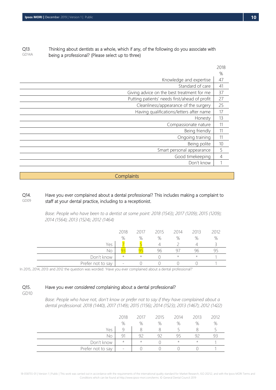#### Q13. GD14A Thinking about dentists as a whole, which if any, of the following do you associate with being a professional? (Please select up to three)

|                                               | 2018 |
|-----------------------------------------------|------|
|                                               | %    |
| Knowledge and expertise                       | 47   |
| Standard of care                              | 41   |
| Giving advice on the best treatment for me    | 37   |
| Putting patients' needs first/ahead of profit | 27   |
| Cleanliness/appearance of the surgery         | 25   |
| Having qualifications/letters after name      | 17   |
| Honesty                                       | 13   |
| Compassionate nature                          | 11   |
| Being friendly                                | 11   |
| Ongoing training                              | 11   |
| Being polite                                  | 10   |
| Smart personal appearance                     | 5    |
| Good timekeeping                              | 4    |
| Don't know                                    |      |

#### **Complaints**

#### Q14. GD09 Have you ever complained about a dental professional? This includes making a complaint to staff at your dental practice, including to a receptionist.

*Base: People who have been to a dentist at some point: 2018 (1543); 2017 (1209); 2015 (1209); 2014 (1564); 2013 (1524); 2012 (1464)*

|                   | 2018                     | 2017    | 2015 | 2014    | 2013     | 2012 |
|-------------------|--------------------------|---------|------|---------|----------|------|
|                   | %                        | %       | %    | %       | %        | %    |
| Yes               |                          |         |      |         |          |      |
| No                |                          |         | 96   | Q7      | 96       |      |
| Don't know        | $\star$                  | $\star$ |      | $\star$ | $^\star$ |      |
| Prefer not to say | $\overline{\phantom{0}}$ |         |      |         |          |      |

In 2015, 2014, 2013 and 2012 the question was worded: 'Have you ever complained about a dental professional?'

Q15.

#### Have you ever *considered* complaining about a dental professional?

GD10

*Base: People who have not, don't know or prefer not to say if they have complained about a dental professional: 2018 (1440), 2017 (1149); 2015 (1156); 2014 (1523); 2013 (1467); 2012 (1422)*

|                   | 2018                     | 2017    | 2015 | 2014    | 2013       | 2012 |
|-------------------|--------------------------|---------|------|---------|------------|------|
|                   | %                        | %       | %    | %       | %          | %    |
| Yes               |                          |         |      |         |            |      |
| No                | ۹1                       | 92      | q2   | 95      | q,         | Y -  |
| Don't know        | $\star$                  | $\star$ |      | $\star$ | $^{\star}$ |      |
| Prefer not to say | $\overline{\phantom{a}}$ |         |      |         |            |      |

 $2010$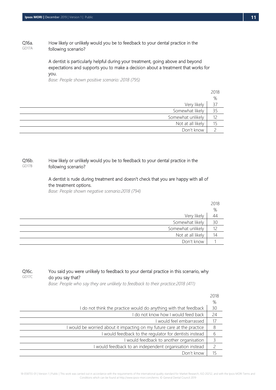#### Q16a. GD17A How likely or unlikely would you be to feedback to your dental practice in the following scenario?

A dentist is particularly helpful during your treatment, going above and beyond expectations and supports you to make a decision about a treatment that works for you.

*Base: People shown positive scenario: 2018 (795)*

|                   | 2018 |
|-------------------|------|
|                   | %    |
| Very likely       | 37   |
| Somewhat likely   | 35   |
| Somewhat unlikely | 12   |
| Not at all likely | 15   |
| Don't know        |      |

#### Q16b. GD17B How likely or unlikely would you be to feedback to your dental practice in the following scenario?

#### A dentist is rude during treatment and doesn't check that you are happy with all of the treatment options.

*Base: People shown negative scenario:2018 (794)*

|                   | 2018 |
|-------------------|------|
|                   | %    |
| Very likely       | 44   |
| Somewhat likely   | 30   |
| Somewhat unlikely | 12   |
| Not at all likely | 14   |
| Don't know        |      |
|                   |      |

#### Q16c. GD17C You said you were unlikely to feedback to your dental practice in this scenario, why do you say that?

*Base: People who say they are unlikely to feedback to their practice:2018 (411)*

|                                                                       | 2018 |
|-----------------------------------------------------------------------|------|
|                                                                       | %    |
| do not think the practice would do anything with that feedback        | 30   |
| I do not know how I would feed back                                   | 24   |
| would feel embarrassed                                                | 17   |
| would be worried about it impacting on my future care at the practice | 8    |
| I would feedback to the regulator for dentists instead                | 6    |
| I would feedback to another organisation                              | 3    |
| would feedback to an independent organisation instead                 | 2    |
| Don't know                                                            | 15   |

18-058755-01 | Version 1 | Public | This work was carried out in accordance with the requirements of the international quality standard for Market Research, ISO 20252, and with the Ipsos MORI Terms and Conditions which can be found at http://www.ipsos-mori.com/terms. © General Dental Council 2019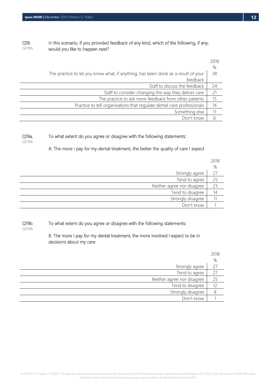#### Q18. GD18A In this scenario, if you provided feedback of any kind, which of the following, if any, would you like to happen next?

|                                                                                   | 2018 |
|-----------------------------------------------------------------------------------|------|
|                                                                                   | %    |
| The practice to let you know what, if anything, has been done as a result of your | 38   |
| feedback                                                                          |      |
| Staff to discuss the feedback                                                     | 24   |
| Staff to consider changing the way they deliver care                              | 21   |
| The practice to ask more feedback from other patients                             | 15   |
| Practice to tell organisations that regulate dental care professionals            | 14   |
| Something else                                                                    | 11   |
| Don't know                                                                        | 6    |

#### Q19a. To what extent do you agree or disagree with the following statements:

GD19A

A: The more I pay for my dental treatment, the better the quality of care I expect

|                            | 2018 |
|----------------------------|------|
|                            | $\%$ |
| Strongly agree             | 27   |
| Tend to agree              | 25   |
| Neither agree nor disagree | 23   |
| Tend to disagree           | 14   |
| Strongly disagree          |      |
| Don't know                 |      |

Q19b. To what extent do you agree or disagree with the following statements:

GD19A

B: The more I pay for my dental treatment, the more involved I expect to be in decisions about my care

|                            | 2018<br>$\%$ |
|----------------------------|--------------|
| Strongly agree             | 27           |
| Tend to agree              | 27           |
| Neither agree nor disagree | 25           |
| Tend to disagree           | 12           |
| Strongly disagree          |              |
| Don't know                 |              |
|                            |              |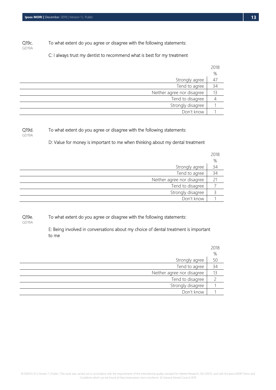Q19c. To what extent do you agree or disagree with the following statements:

C: I always trust my dentist to recommend what is best for my treatment

|                            | 2018           |
|----------------------------|----------------|
|                            | $\%$           |
| Strongly agree             | 4 <sub>l</sub> |
| Tend to agree              | 34             |
| Neither agree nor disagree | 13             |
| Tend to disagree           |                |
| Strongly disagree          |                |
| Don't know                 |                |
|                            |                |

#### Q19d.

GD19A

GD19A

#### To what extent do you agree or disagree with the following statements:

D: Value for money is important to me when thinking about my dental treatment

|                            | 2018 |
|----------------------------|------|
|                            | $\%$ |
| Strongly agree             | 34   |
| Tend to agree              | 34   |
| Neither agree nor disagree | 21   |
| Tend to disagree           |      |
| Strongly disagree          |      |
| Don't know                 |      |

Q19e. To what extent do you agree or disagree with the following statements:

GD19A

E: Being involved in conversations about my choice of dental treatment is important to me

|                            | 2018 |
|----------------------------|------|
|                            | $\%$ |
| Strongly agree             | 50   |
| Tend to agree              | 34   |
| Neither agree nor disagree | 13   |
| Tend to disagree           |      |
| Strongly disagree          |      |
| Don't know                 |      |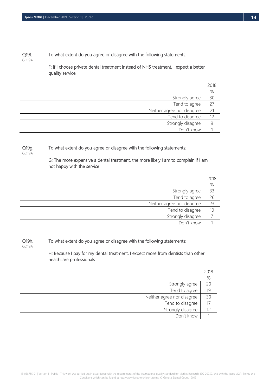#### Q19f. GD19A To what extent do you agree or disagree with the following statements:

F: If I choose private dental treatment instead of NHS treatment, I expect a better quality service

|                            | 2018 |
|----------------------------|------|
|                            | %    |
| Strongly agree             | 30   |
| Tend to agree              | 27   |
| Neither agree nor disagree | 21   |
| Tend to disagree           | 12   |
| Strongly disagree          |      |
| Don't know                 |      |

Q19g. GD19A

To what extent do you agree or disagree with the following statements:

G: The more expensive a dental treatment, the more likely I am to complain if I am not happy with the service

|                            | 2018 |
|----------------------------|------|
|                            | $\%$ |
| Strongly agree             | 33   |
| Tend to agree              | 26   |
| Neither agree nor disagree | 23   |
| Tend to disagree           | 10   |
| Strongly disagree          |      |
| Don't know                 |      |

Q19h. To what extent do you agree or disagree with the following statements:

GD19A

H: Because I pay for my dental treatment, I expect more from dentists than other healthcare professionals

|                            | 2018 |
|----------------------------|------|
|                            | %    |
| Strongly agree             | 20   |
| Tend to agree              | 19   |
| Neither agree nor disagree | 30   |
| Tend to disagree           |      |
| Strongly disagree          | 12   |
| Don't know                 |      |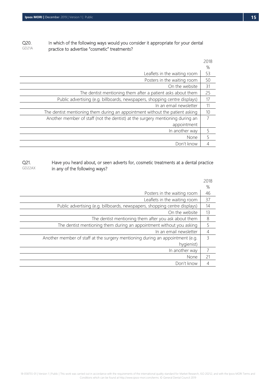#### Q20. GD21A In which of the following ways would you consider it appropriate for your dental practice to advertise "cosmetic" treatments?

|                                                                               | 2018 |
|-------------------------------------------------------------------------------|------|
|                                                                               | %    |
| Leaflets in the waiting room                                                  | 53   |
| Posters in the waiting room                                                   | 50   |
| On the website                                                                | 31   |
| The dentist mentioning them after a patient asks about them                   | 25   |
| Public advertising (e.g. billboards, newspapers, shopping centre displays)    | 17   |
| In an email newsletter                                                        | 11   |
| The dentist mentioning them during an appointment without the patient asking  | 10   |
| Another member of staff (not the dentist) at the surgery mentioning during an | 7    |
| appointment                                                                   |      |
| In another way                                                                | 5    |
| None                                                                          | 5    |
| Don't know                                                                    | 4    |

Q21. GD22AX Have you heard about, or seen adverts for, cosmetic treatments at a dental practice in any of the following ways?

|                                                                               | 2018          |
|-------------------------------------------------------------------------------|---------------|
|                                                                               | %             |
| Posters in the waiting room                                                   | 46            |
| Leaflets in the waiting room                                                  | 37            |
| Public advertising (e.g. billboards, newspapers, shopping centre displays)    | 14            |
| On the website                                                                | 13            |
| The dentist mentioning them after you ask about them                          | 8             |
| The dentist mentioning them during an appointment without you asking          | 5             |
| In an email newsletter                                                        | 4             |
| Another member of staff at the surgery mentioning during an appointment (e.g. | $\mathcal{E}$ |
| hygienist)                                                                    |               |
| In another way                                                                |               |
| None                                                                          | 21            |
| Don't know                                                                    | 4             |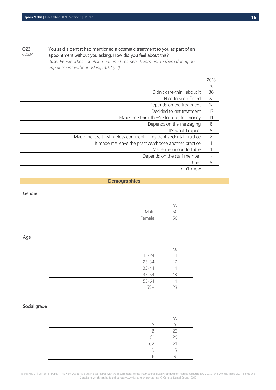#### Q23. GD23A

 You said a dentist had mentioned a cosmetic treatment to you as part of an appointment without you asking. How did you feel about this?

*Base: People whose dentist mentioned cosmetic treatment to them during an appointment without asking:2018 (74)*

|                                                                    | 2018          |
|--------------------------------------------------------------------|---------------|
|                                                                    | %             |
| Didn't care/think about it                                         | 36            |
| Nice to see offered                                                | 22            |
| Depends on the treatment                                           | 12            |
| Decided to get treatment                                           | 12            |
| Makes me think they're looking for money                           | 11            |
| Depends on the messaging                                           | 8             |
| It's what I expect                                                 | 5             |
| Made me less trusting/less confident in my dentist/dental practice | $\mathcal{P}$ |
| It made me leave the practice/choose another practice              |               |
| Made me uncomfortable                                              |               |
| Depends on the staff member                                        |               |
| Other                                                              | 9             |
| Don't know                                                         |               |

#### **Demographics**

Gender

|        | %                              |
|--------|--------------------------------|
| Male   | 50<br>$\overline{\phantom{a}}$ |
| Female | 50<br>$\overline{\phantom{a}}$ |
|        |                                |

Age

|           | %  |
|-----------|----|
| $15 - 24$ | 14 |
| $25 - 34$ |    |
| $35 - 44$ | 14 |
| $45 - 54$ | 18 |
| 55-64     | 14 |
| $65+$     |    |

#### Social grade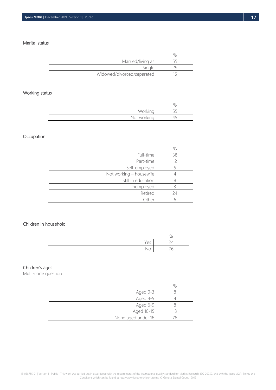#### Marital status

| Married/living as          |  |
|----------------------------|--|
| Sinale                     |  |
| Widowed/divorced/separated |  |

### Working status

|                    | $\cup_L$ |
|--------------------|----------|
| Working            |          |
| Not working<br>. . |          |

### Occupation

|                         | %  |
|-------------------------|----|
| Full-time               | 38 |
| Part-time               |    |
| Self-employed           |    |
| Not working - housewife |    |
| Still in education      |    |
| Unemployed              |    |
| Retired                 | 24 |
| Other                   |    |

#### Children in household

|                     | ັ<br>'C  |
|---------------------|----------|
| $\sim$ $\sim$<br>ヒコ | $\Delta$ |
| ∼                   | 'n       |

## Children's ages

Multi-code question

| Aged 0-3           |  |
|--------------------|--|
| Aged 4-5           |  |
| Aged 6-9           |  |
| Aged 10-15         |  |
| None aged under 16 |  |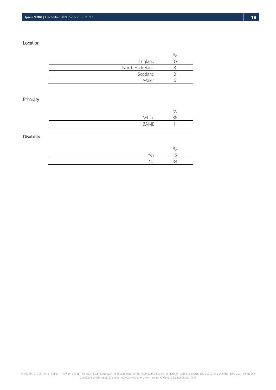#### Location

| England          |  |
|------------------|--|
| Northern Ireland |  |
| Scotland         |  |
| Wales            |  |

## Ethnicity

|                | %  |
|----------------|----|
| White          | RR |
| RAME<br>UNIVIL | 11 |

### **Disability**

|    | %  |
|----|----|
| ヒコ | 15 |
| ◡  |    |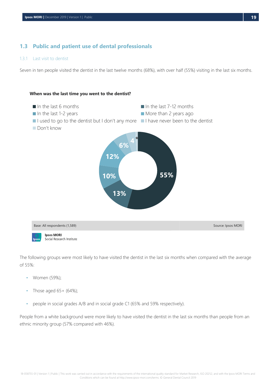## <span id="page-19-0"></span>**1.3 Public and patient use of dental professionals**

#### <span id="page-19-1"></span>1.3.1 Last visit to dentist

Seven in ten people visited the dentist in the last twelve months (68%), with over half (55%) visiting in the last six months.



The following groups were most likely to have visited the dentist in the last six months when compared with the average of 55%:

- Women (59%);
- $\blacksquare$  Those aged 65 + (64%);
- people in social grades A/B and in social grade C1 (65% and 59% respectively).

People from a white background were more likely to have visited the dentist in the last six months than people from an ethnic minority group (57% compared with 46%).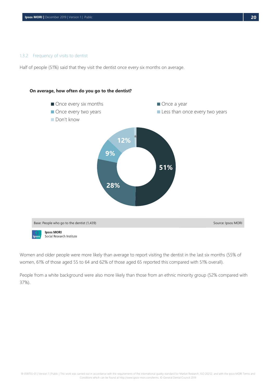#### <span id="page-20-0"></span>1.3.2 Frequency of visits to dentist

Half of people (51%) said that they visit the dentist once every six months on average.



Women and older people were more likely than average to report visiting the dentist in the last six months (55% of women, 61% of those aged 55 to 64 and 62% of those aged 65 reported this compared with 51% overall).

People from a white background were also more likely than those from an ethnic minority group (52% compared with 37%).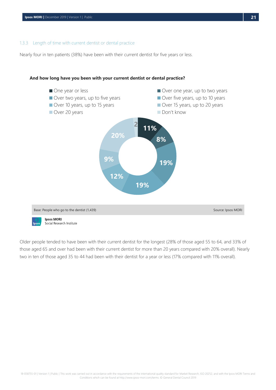#### <span id="page-21-0"></span>1.3.3 Length of time with current dentist or dental practice

Nearly four in ten patients (38%) have been with their current dentist for five years or less.



#### **And how long have you been with your current dentist or dental practice?**

Older people tended to have been with their current dentist for the longest (28% of those aged 55 to 64, and 33% of those aged 65 and over had been with their current dentist for more than 20 years compared with 20% overall). Nearly two in ten of those aged 35 to 44 had been with their dentist for a year or less (17% compared with 11% overall).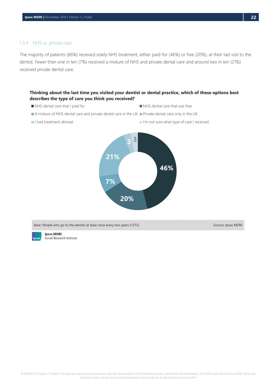#### <span id="page-22-0"></span>1.3.4 NHS vs. private care

The majority of patients (66%) received solely NHS treatment, either paid-for (46%) or free (20%), at their last visit to the dentist. Fewer than one in ten (7%) received a mixture of NHS and private dental care and around two in ten (21%) received private dental care.

#### **Thinking about the last time you visited your dentist or dental practice, which of these options best describes the type of care you think you received?**

- NHS dental care that I paid for NHS dental care that was free
- A mixture of NHS dental care and private dental care in the UK Private dental care only in the UK
- 
- I had treatment abroad I had treatment abroad I had treatment abroad I had treatment abroad



Base: People who go to the dentist at least once every two years (1272) Source: Ipsos MORI



**Ipsos MORI** Social Research Institute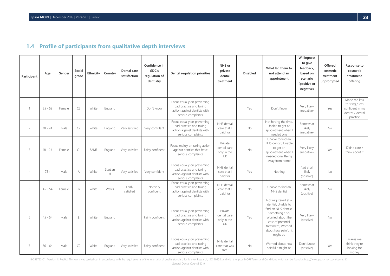## **1.4 Profile of participants from qualitative depth interviews**

<span id="page-23-0"></span>

| Participant    | Age       | Gender | Social<br>grade | Ethnicity   | Country      | Dental care<br>satisfaction | Confidence in<br>GDC's<br>regulation of<br>dentistry | Dental regulation priorities                                                                                 | NHS or<br>private<br>dental<br>treatment    | <b>Disabled</b> | What led them to<br>not attend an<br>appointment                                                                                                                                         | Willingness<br>to give<br>feedback,<br>based on<br>scenario<br>(positive or<br>negative) | Offered<br>cosmetic<br>treatment<br>unprompted | Response to<br>cosmetic<br>treatment<br>offering                                   |
|----------------|-----------|--------|-----------------|-------------|--------------|-----------------------------|------------------------------------------------------|--------------------------------------------------------------------------------------------------------------|---------------------------------------------|-----------------|------------------------------------------------------------------------------------------------------------------------------------------------------------------------------------------|------------------------------------------------------------------------------------------|------------------------------------------------|------------------------------------------------------------------------------------|
| $\mathbf{1}$   | $55 - 59$ | Female | C <sub>2</sub>  | White       | England      |                             | Don't know                                           | Focus equally on preventing<br>bad practice and taking<br>action against dentists with<br>serious complaints |                                             | Yes             | Don't Know                                                                                                                                                                               | Very likely<br>(negative)                                                                | Yes                                            | Made me less<br>trusting / less<br>confident in my<br>dentist / dental<br>practice |
| $\overline{c}$ | $18 - 24$ | Male   | C <sub>2</sub>  | White       | England      | Very satisfied              | Very confident                                       | Focus equally on preventing<br>bad practice and taking<br>action against dentists with<br>serious complaints | NHS dental<br>care that I<br>paid for       | <b>No</b>       | Not having the time,<br>Unable to get an<br>appointment when I<br>needed one                                                                                                             | Somewhat<br>likely<br>(negative)                                                         | <b>No</b>                                      |                                                                                    |
| 3              | $18 - 24$ | Female | C1              | <b>BAME</b> | England      | Very satisfied              | Fairly confident                                     | Focus mainly on taking action<br>against dentists that have<br>serious complaints                            | Private<br>dental care<br>only in the<br>UK | No              | Unable to find an<br>NHS dentist, Unable<br>to get an<br>appointment when I<br>needed one, Being<br>away from home                                                                       | Very likely<br>(negative)                                                                | Yes                                            | Didn't care /<br>think about it                                                    |
| $\overline{4}$ | $75+$     | Male   | A               | White       | Scotlar<br>d | Very satisfied              | Very confident                                       | Focus equally on preventing<br>bad practice and taking<br>action against dentists with<br>serious complaints | NHS dental<br>care that I<br>paid for       | Yes             | Nothing                                                                                                                                                                                  | Not at all<br>likely<br>(positive)                                                       | <b>No</b>                                      |                                                                                    |
| 5              | $45 - 54$ | Female | B               | White       | Wales        | Fairly<br>satisfied         | Not very<br>confident                                | Focus equally on preventing<br>bad practice and taking<br>action against dentists with<br>serious complaints | NHS dental<br>care that I<br>paid for       | No              | Unable to find an<br>NHS dentist                                                                                                                                                         | Somewhat<br>likely<br>(positive)                                                         | No                                             |                                                                                    |
| 6              | $45 - 54$ | Male   | E               | White       | England      |                             | Fairly confident                                     | Focus equally on preventing<br>bad practice and taking<br>action against dentists with<br>serious complaints | Private<br>dental care<br>only in the<br>UK | Yes             | Not registered at a<br>dentist, Unable to<br>find an NHS dentist,<br>Something else,<br>Worried about the<br>cost of potential<br>treatment, Worried<br>about how painful it<br>might be | Very likely<br>(positive)                                                                | <b>No</b>                                      |                                                                                    |
| $\overline{7}$ | $60 - 64$ | Male   | C <sub>2</sub>  | White       | England      | Very satisfied              | Fairly confident                                     | Focus equally on preventing<br>bad practice and taking<br>action against dentists with<br>serious complaints | NHS dental<br>care that was<br>free         | <b>No</b>       | Worried about how<br>painful it might be                                                                                                                                                 | Don't Know<br>(positive)                                                                 | Yes                                            | Makes me<br>think they're<br>looking for<br>money                                  |

18-058755-01 | Version 1 | Public | This work was carried out in accordance with the requirements of the international quality standard for Market Research, ISO 20252, and with the Ipsos MORI Terms and Conditions which can General Dental Council 2019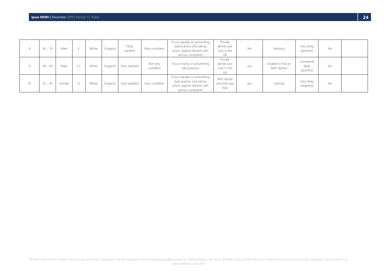| 8  | $65 - 74$ | Male   |        | White | England | Fairly<br>satisfied | Fairly confident      | Focus equally on preventing<br>bad practice and taking<br>action against dentists with<br>serious complaints | Private<br>dental care<br>only in the<br>UΚ | No  | Nothing                          | Very likely<br>(positive)        | No        |  |
|----|-----------|--------|--------|-------|---------|---------------------|-----------------------|--------------------------------------------------------------------------------------------------------------|---------------------------------------------|-----|----------------------------------|----------------------------------|-----------|--|
| Q  | 60 - 64   | Male   |        | White | England | Very satisfied      | Not very<br>confident | Focus mainly on preventing<br>bad practice                                                                   | Private<br>dental care<br>only in the<br>UΚ | yes | Unable to find an<br>NHS dentist | Somewhat<br>likely<br>(positive) | <b>No</b> |  |
| 10 | $25 - 34$ | Female | $\Box$ | White | England | Very satisfied      | Very confident        | Focus equally on preventing<br>bad practice and taking<br>action against dentists with<br>serious complaints | NHS dental<br>care that was<br>free         | yes | nothing                          | Very likely<br>(negative)        | No        |  |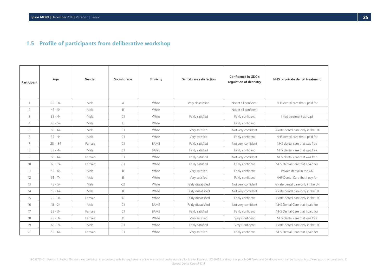## **1.5 Profile of participants from deliberative workshop**

<span id="page-25-0"></span>

| Participant    | Age       | Gender | Social grade   | Ethnicity   | Dental care satisfaction | Confidence in GDC's<br>regulation of dentistry | NHS or private dental treatment    |
|----------------|-----------|--------|----------------|-------------|--------------------------|------------------------------------------------|------------------------------------|
| $\mathbf{1}$   | $25 - 34$ | Male   | A              | White       | Very dissatisfied        | Not at all confident                           | NHS dental care that I paid for    |
| $\overline{c}$ | $45 - 54$ | Male   | B              | White       |                          | Not at all confident                           |                                    |
| 3              | $35 - 44$ | Male   | C1             | White       | Fairly satisfied         | Fairly confident                               | I had treatment abroad             |
| $\overline{4}$ | $45 - 54$ | Male   | E              | White       |                          | Fairly confident                               |                                    |
| 5              | $60 - 64$ | Male   | C1             | White       | Very satisfied           | Not very confident                             | Private dental care only in the UK |
| 6              | $35 - 44$ | Male   | C1             | White       | Very satisfied           | Fairly confident                               | NHS dental care that I paid for    |
| $\overline{7}$ | $25 - 34$ | Female | C1             | <b>BAME</b> | Fairly satisfied         | Not very confident                             | NHS dental care that was free      |
| 8              | $35 - 44$ | Male   | C1             | <b>BAME</b> | Fairly satisfied         | Fairly confident                               | NHS dental care that was free      |
| 9              | $60 - 64$ | Female | C1             | White       | Fairly satisfied         | Not very confident                             | NHS dental care that was free      |
| 10             | $65 - 74$ | Female | C1             | White       | Fairly satisfied         | Fairly confident                               | NHS Dental Care that I paid for    |
| 11             | $55 - 64$ | Male   | B              | White       | Very satisfied           | Fairly confident                               | Private dental in the UK           |
| 12             | $65 - 74$ | Male   | B              | White       | Very satisfied           | Fairly confident                               | NHS Dental Care that I pay for     |
| 13             | $45 - 54$ | Male   | C <sub>2</sub> | White       | Fairly dissatisfied      | Not very confident                             | Private dental care only in the UK |
| 14             | $55 - 64$ | Male   | B              | White       | Fairly dissatisfied      | Not very confident                             | Private dental care only in the UK |
| 15             | $25 - 34$ | Female | D              | White       | Fairly dissatisfied      | Fairly confident                               | Private dental care only in the UK |
| 16             | $18 - 24$ | Male   | C1             | <b>BAME</b> | Fairly dissatisfied      | Not very confident                             | NHS Dental Care that I paid for    |
| 17             | $25 - 34$ | Female | C1             | <b>BAME</b> | Fairly satisfied         | Fairly confident                               | NHS Dental Care that I paid for    |
| 18             | $25 - 34$ | Female | D              | White       | Very satisfied           | Very Confident                                 | NHS dental care that was free      |
| 19             | $65 - 74$ | Male   | C1             | White       | Fairly satisfied         | Very Confident                                 | Private dental care only in the UK |
| 20             | $55 - 64$ | Female | C1             | White       | Very satisfied           | Fairly confident                               | NHS Dental Care that I paid for    |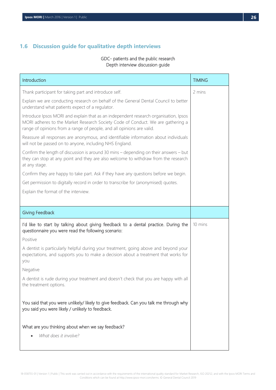## <span id="page-26-0"></span>**1.6 Discussion guide for qualitative depth interviews**

## GDC- patients and the public research Depth interview discussion guide

| Introduction                                                                                                                                                                                                                                     | <b>TIMING</b> |
|--------------------------------------------------------------------------------------------------------------------------------------------------------------------------------------------------------------------------------------------------|---------------|
| Thank participant for taking part and introduce self.                                                                                                                                                                                            | 2 mins        |
| Explain we are conducting research on behalf of the General Dental Council to better<br>understand what patients expect of a regulator.                                                                                                          |               |
| Introduce Ipsos MORI and explain that as an independent research organisation, Ipsos<br>MORI adheres to the Market Research Society Code of Conduct. We are gathering a<br>range of opinions from a range of people, and all opinions are valid. |               |
| Reassure all responses are anonymous, and identifiable information about individuals<br>will not be passed on to anyone, including NHS England.                                                                                                  |               |
| Confirm the length of discussion is around 30 mins - depending on their answers - but<br>they can stop at any point and they are also welcome to withdraw from the research<br>at any stage.                                                     |               |
| Confirm they are happy to take part. Ask if they have any questions before we begin.                                                                                                                                                             |               |
| Get permission to digitally record in order to transcribe for (anonymised) quotes.                                                                                                                                                               |               |
| Explain the format of the interview.                                                                                                                                                                                                             |               |
|                                                                                                                                                                                                                                                  |               |
| <b>Giving Feedback</b>                                                                                                                                                                                                                           |               |
| I'd like to start by talking about giving feedback to a dental practice. During the<br>questionnaire you were read the following scenario:                                                                                                       | 10 mins       |
| Positive                                                                                                                                                                                                                                         |               |
| A dentist is particularly helpful during your treatment, going above and beyond your<br>expectations, and supports you to make a decision about a treatment that works for<br>you                                                                |               |
| Negative                                                                                                                                                                                                                                         |               |
| A dentist is rude during your treatment and doesn't check that you are happy with all<br>the treatment options.                                                                                                                                  |               |
| You said that you were unlikely/ likely to give feedback. Can you talk me through why<br>you said you were likely / unlikely to feedback.                                                                                                        |               |
| What are you thinking about when we say feedback?<br>What does it involve?                                                                                                                                                                       |               |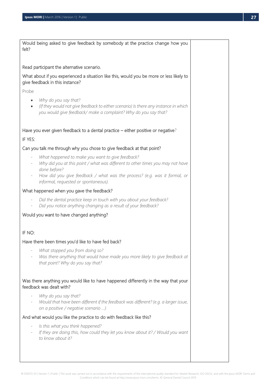| Would being asked to give feedback by somebody at the practice change how you<br>felt?                                                                                                                   |  |
|----------------------------------------------------------------------------------------------------------------------------------------------------------------------------------------------------------|--|
| Read participant the alternative scenario.                                                                                                                                                               |  |
| What about if you experienced a situation like this, would you be more or less likely to<br>give feedback in this instance?                                                                              |  |
| Probe                                                                                                                                                                                                    |  |
| Why do you say that?<br>$\bullet$<br>(If they would not give feedback to either scenario) Is there any instance in which<br>$\bullet$<br>you would give feedback/ make a complaint? Why do you say that? |  |
| Have you ever given feedback to a dental practice – either positive or negative?<br>IF YES:                                                                                                              |  |
| Can you talk me through why you chose to give feedback at that point?                                                                                                                                    |  |
| What happened to make you want to give feedback?                                                                                                                                                         |  |
| Why did you at this point / what was different to other times you may not have<br>done before?                                                                                                           |  |
| How did you give feedback / what was the process? (e.g. was it formal, or<br>$\overline{\phantom{a}}$<br>informal, requested or spontaneous).                                                            |  |
| What happened when you gave the feedback?                                                                                                                                                                |  |
| Did the dental practice keep in touch with you about your feedback?<br>$\overline{\phantom{a}}$<br>Did you notice anything changing as a result of your feedback?<br>$\overline{\phantom{a}}$            |  |
| Would you want to have changed anything?                                                                                                                                                                 |  |
| IF NO:                                                                                                                                                                                                   |  |
| Have there been times you'd like to have fed back?                                                                                                                                                       |  |
| What stopped you from doing so?<br>$\overline{\phantom{m}}$<br>Was there anything that would have made you more likely to give feedback at<br>that point? Why do you say that?                           |  |
| Was there anything you would like to have happened differently in the way that your<br>feedback was dealt with?                                                                                          |  |
| Why do you say that?<br>Would that have been different if the feedback was different? (e.g. a larger issue,<br>on a positive / negative scenario )                                                       |  |
| And what would you like the practice to do with feedback like this?                                                                                                                                      |  |
| Is this what you think happened?<br>$\overline{\phantom{a}}$<br>If they are doing this, how could they let you know about it? / Would you want<br>to know about it?                                      |  |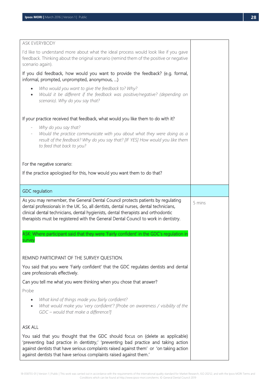| ASK EVERYBODY                                                                                                                                                                                                                                                                                                                                       |        |
|-----------------------------------------------------------------------------------------------------------------------------------------------------------------------------------------------------------------------------------------------------------------------------------------------------------------------------------------------------|--------|
| I'd like to understand more about what the ideal process would look like if you gave<br>feedback. Thinking about the original scenario (remind them of the positive or negative<br>scenario again).                                                                                                                                                 |        |
| If you did feedback, how would you want to provide the feedback? (e.g. formal,<br>informal, prompted, unprompted, anonymous, )                                                                                                                                                                                                                      |        |
| Who would you want to give the feedback to? Why?<br>Would it be different if the feedback was positive/negative? (depending on<br>$\bullet$<br>scenario). Why do you say that?                                                                                                                                                                      |        |
| If your practice received that feedback, what would you like them to do with it?                                                                                                                                                                                                                                                                    |        |
| Why do you say that?<br>Would the practice communicate with you about what they were doing as a<br>result of the feedback? Why do you say that? [IF YES] How would you like them<br>to feed that back to you?                                                                                                                                       |        |
| For the negative scenario:                                                                                                                                                                                                                                                                                                                          |        |
| If the practice apologised for this, how would you want them to do that?                                                                                                                                                                                                                                                                            |        |
| <b>GDC</b> regulation                                                                                                                                                                                                                                                                                                                               |        |
| As you may remember, the General Dental Council protects patients by regulating<br>dental professionals in the UK. So, all dentists, dental nurses, dental technicians,<br>clinical dental technicians, dental hygienists, dental therapists and orthodontic<br>therapists must be registered with the General Dental Council to work in dentistry. | 5 mins |
| ASK: Where participant said that they were 'Fairly confident' in the GDC's regulation in<br>survey                                                                                                                                                                                                                                                  |        |
| REMIND PARTICIPANT OF THE SURVEY QUESTION.                                                                                                                                                                                                                                                                                                          |        |
| You said that you were 'Fairly confident' that the GDC regulates dentists and dental<br>care professionals effectively.                                                                                                                                                                                                                             |        |
| Can you tell me what you were thinking when you chose that answer?                                                                                                                                                                                                                                                                                  |        |
| Probe                                                                                                                                                                                                                                                                                                                                               |        |
| What kind of things made you fairly confident?<br>٠<br>What would make you 'very confident'? [Probe on awareness / visibility of the<br>$\bullet$<br>GDC - would that make a difference?]                                                                                                                                                           |        |
| <b>ASK ALL</b>                                                                                                                                                                                                                                                                                                                                      |        |
| You said that you thought that the GDC should focus on (delete as applicable)<br>'preventing bad practice in dentistry,' 'preventing bad practice and taking action<br>against dentists that have serious complaints raised against them' or 'on taking action<br>against dentists that have serious complaints raised against them.'               |        |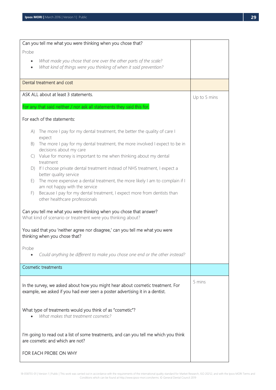|            | Can you tell me what you were thinking when you chose that?                                                                                                    |              |
|------------|----------------------------------------------------------------------------------------------------------------------------------------------------------------|--------------|
| Probe      |                                                                                                                                                                |              |
|            | What made you chose that one over the other parts of the scale?<br>What kind of things were you thinking of when it said prevention?                           |              |
|            | Dental treatment and cost                                                                                                                                      |              |
|            | ASK ALL about at least 3 statements.                                                                                                                           | Up to 5 mins |
|            | For any that said neither / nor ask all statements they said this for.                                                                                         |              |
|            | For each of the statements:                                                                                                                                    |              |
| A)         | The more I pay for my dental treatment, the better the quality of care I<br>expect                                                                             |              |
| B)         | The more I pay for my dental treatment, the more involved I expect to be in<br>decisions about my care                                                         |              |
| $\bigcirc$ | Value for money is important to me when thinking about my dental<br>treatment                                                                                  |              |
| D)         | If I choose private dental treatment instead of NHS treatment, I expect a<br>better quality service                                                            |              |
| E)         | The more expensive a dental treatment, the more likely I am to complain if I<br>am not happy with the service                                                  |              |
| F)         | Because I pay for my dental treatment, I expect more from dentists than<br>other healthcare professionals                                                      |              |
|            | Can you tell me what you were thinking when you chose that answer?<br>What kind of scenario or treatment were you thinking about?                              |              |
|            | You said that you 'neither agree nor disagree,' can you tell me what you were<br>thinking when you chose that?                                                 |              |
| Probe      | Could anything be different to make you chose one end or the other instead?                                                                                    |              |
|            | <b>Cosmetic treatments</b>                                                                                                                                     |              |
|            | In the survey, we asked about how you might hear about cosmetic treatment. For<br>example, we asked if you had ever seen a poster advertising it in a dentist. | 5 mins       |
|            | What type of treatments would you think of as "cosmetic"?<br>What makes that treatment cosmetic?                                                               |              |
|            | I'm going to read out a list of some treatments, and can you tell me which you think<br>are cosmetic and which are not?                                        |              |
|            | FOR EACH PROBE ON WHY                                                                                                                                          |              |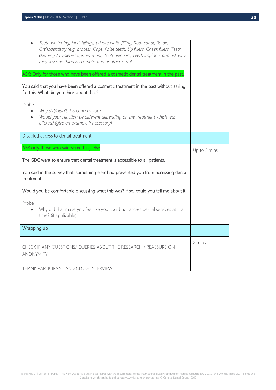|                    | Teeth whitening, NHS fillings, private white filling, Root canal, Botox,<br>Orthodentistry (e.g. braces), Caps, False teeth, Lip fillers, Cheek fillers, Teeth<br>cleaning / hygienist appointment, Teeth veneers, Teeth implants and ask why<br>they say one thing is cosmetic and another is not. |              |
|--------------------|-----------------------------------------------------------------------------------------------------------------------------------------------------------------------------------------------------------------------------------------------------------------------------------------------------|--------------|
|                    | ASK: Only for those who have been offered a cosmetic dental treatment in the past.                                                                                                                                                                                                                  |              |
|                    | You said that you have been offered a cosmetic treatment in the past without asking<br>for this. What did you think about that?                                                                                                                                                                     |              |
| Probe<br>$\bullet$ | Why did/didn't this concern you?<br>Would your reaction be different depending on the treatment which was<br>offered? (give an example if necessary).                                                                                                                                               |              |
|                    | Disabled access to dental treatment                                                                                                                                                                                                                                                                 |              |
|                    | ASK only those who said something else                                                                                                                                                                                                                                                              | Up to 5 mins |
|                    | The GDC want to ensure that dental treatment is accessible to all patients.                                                                                                                                                                                                                         |              |
| treatment.         | You said in the survey that 'something else' had prevented you from accessing dental                                                                                                                                                                                                                |              |
|                    | Would you be comfortable discussing what this was? If so, could you tell me about it.                                                                                                                                                                                                               |              |
| Probe              | Why did that make you feel like you could not access dental services at that<br>time? (if applicable)                                                                                                                                                                                               |              |
| Wrapping up        |                                                                                                                                                                                                                                                                                                     |              |
| ANONYMITY.         | CHECK IF ANY QUESTIONS/ QUERIES ABOUT THE RESEARCH / REASSURE ON                                                                                                                                                                                                                                    | 2 mins       |
|                    | THANK PARTICIPANT AND CLOSE INTERVIEW.                                                                                                                                                                                                                                                              |              |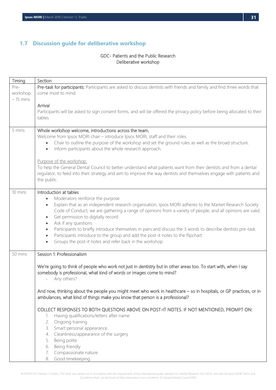## <span id="page-31-0"></span>**1.7 Discussion guide for deliberative workshop**

## GDC- Patients and the Public Research Deliberative workshop

| Timing     | Section                                                                                                                   |
|------------|---------------------------------------------------------------------------------------------------------------------------|
| Pre-       | Pre-task for participants: Participants are asked to discuss dentists with friends and family and find three words that   |
| workshop   | come most to mind.                                                                                                        |
| $-15$ mins |                                                                                                                           |
|            | Arrival                                                                                                                   |
|            | Participants will be asked to sign consent forms, and will be offered the privacy policy before being allocated to their  |
|            | tables                                                                                                                    |
| 5 mins     | Whole workshop welcome, introductions across the team,                                                                    |
|            | Welcome from Ipsos MORI chair - introduce Ipsos MORI, staff and their roles.                                              |
|            | Chair to outline the purpose of the workshop and set the ground rules as well as the broad structure.<br>$\bullet$        |
|            | Inform participants about the whole research approach.<br>$\bullet$                                                       |
|            |                                                                                                                           |
|            | Purpose of the workshop:                                                                                                  |
|            | To help the General Dental Council to better understand what patients want from their dentists and from a dental          |
|            | regulator, to feed into their strategy and aim to improve the way dentists and themselves engage with patients and        |
|            | the public.                                                                                                               |
|            |                                                                                                                           |
| 10 mins    | Introduction at tables                                                                                                    |
|            | Moderators reinforce the purpose<br>$\bullet$                                                                             |
|            | Explain that as an independent research organisation, Ipsos MORI adheres to the Market Research Society<br>$\bullet$      |
|            | Code of Conduct; we are gathering a range of opinions from a variety of people, and all opinions are valid.               |
|            | Get permission to digitally record<br>$\bullet$<br>Ask if any questions<br>$\bullet$                                      |
|            | Participants to briefly introduce themselves in pairs and discuss the 3 words to describe dentists pre-task.<br>$\bullet$ |
|            | Participants introduce to the group and add the post-it notes to the flipchart.<br>$\bullet$                              |
|            | Groups the post-it notes and refer back in the workshop<br>$\bullet$                                                      |
|            |                                                                                                                           |
| 50 mins    | Session 1: Professionalism                                                                                                |
|            |                                                                                                                           |
|            | We're going to think of people who work not just in dentistry but in other areas too. To start with, when I say           |
|            | somebody is professional, what kind of words or images come to mind?                                                      |
|            | Any others?                                                                                                               |
|            |                                                                                                                           |
|            | And now, thinking about the people you might meet who work in healthcare - so in hospitals, or GP practices, or in        |
|            | ambulances, what kind of things make you know that person is a professional?                                              |
|            | COLLECT RESPONSES TO BOTH QUESTIONS ABOVE ON POST-IT NOTES. IF NOT MENTIONED, PROMPT ON:                                  |
|            | Having qualifications/letters after name<br>1.                                                                            |
|            | 2. Ongoing training                                                                                                       |
|            | 3. Smart personal appearance                                                                                              |
|            | 4. Cleanliness/appearance of the surgery                                                                                  |
|            | 5. Being polite                                                                                                           |
|            | 6. Being friendly                                                                                                         |
|            | Compassionate nature<br>7.                                                                                                |
|            | Good timekeeping<br>8.                                                                                                    |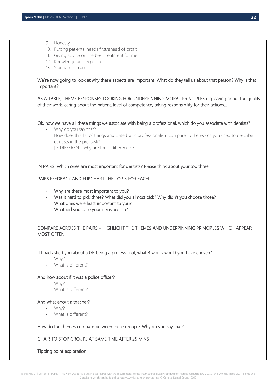| Tipping point exploration                                                                                                                                                                                                                                                                                                                                                          |
|------------------------------------------------------------------------------------------------------------------------------------------------------------------------------------------------------------------------------------------------------------------------------------------------------------------------------------------------------------------------------------|
| CHAIR TO STOP GROUPS AT SAME TIME AFTER 25 MINS                                                                                                                                                                                                                                                                                                                                    |
| How do the themes compare between these groups? Why do you say that?                                                                                                                                                                                                                                                                                                               |
| And what about a teacher?<br>Why?<br>What is different?                                                                                                                                                                                                                                                                                                                            |
| And how about if it was a police officer?<br>Why?<br>What is different?<br>$\overline{\phantom{0}}$                                                                                                                                                                                                                                                                                |
| If I had asked you about a GP being a professional, what 3 words would you have chosen?<br>Why?<br>What is different?                                                                                                                                                                                                                                                              |
| COMPARE ACROSS THE PAIRS - HIGHLIGHT THE THEMES AND UNDERPINNING PRINCIPLES WHICH APPEAR<br><b>MOST OFTEN</b>                                                                                                                                                                                                                                                                      |
| Why are these most important to you?<br>$\overline{\phantom{a}}$<br>Was it hard to pick three? What did you almost pick? Why didn't you choose those?<br>$\overline{\phantom{a}}$<br>What ones were least important to you?<br>$\overline{\phantom{a}}$<br>What did you base your decisions on?<br>$\frac{1}{2}$                                                                   |
| PAIRS FEEDBACK AND FLIPCHART THE TOP 3 FOR EACH.                                                                                                                                                                                                                                                                                                                                   |
| IN PAIRS: Which ones are most important for dentists? Please think about your top three.                                                                                                                                                                                                                                                                                           |
| Ok, now we have all these things we associate with being a professional, which do you associate with dentists?<br>Why do you say that?<br>How does this list of things associated with professionalism compare to the words you used to describe<br>$\overline{\phantom{a}}$<br>dentists in the pre-task?<br>[IF DIFFERENT] why are there differences?<br>$\overline{\phantom{a}}$ |
| AS A TABLE, THEME RESPONSES LOOKING FOR UNDERPINNING MORAL PRINCIPLES e.g. caring about the quality<br>of their work, caring about the patient, level of competence, taking responsibility for their actions                                                                                                                                                                       |
| We're now going to look at why these aspects are important. What do they tell us about that person? Why is that<br>important?                                                                                                                                                                                                                                                      |
| 9. Honesty<br>10. Putting patients' needs first/ahead of profit<br>11. Giving advice on the best treatment for me<br>12. Knowledge and expertise<br>13. Standard of care                                                                                                                                                                                                           |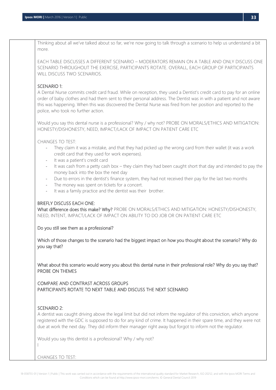Thinking about all we've talked about so far, we're now going to talk through a scenario to help us understand a bit more.

EACH TABLE DISCUSSES A DIFFERENT SCENARIO – MODERATORS REMAIN ON A TABLE AND ONLY DISCUSS ONE SCENARIO THROUGHOUT THE EXERCISE, PARTICIPANTS ROTATE. OVERALL, EACH GROUP OF PARTICIPANTS WILL DISCUSS TWO SCENARIOS.

### SCENARIO 1:

A Dental Nurse commits credit card fraud. While on reception, they used a Dentist's credit card to pay for an online order of baby clothes and had them sent to their personal address. The Dentist was in with a patient and not aware this was happening. When this was discovered the Dental Nurse was fired from her position and reported to the police, who took no further action.

Would you say this dental nurse is a professional? Why / why not? PROBE ON MORALS/ETHICS AND MITIGATION: HONESTY/DISHONESTY, NEED, IMPACT/LACK OF IMPACT ON PATIENT CARE ETC

CHANGES TO TEST:

- They claim it was a mistake, and that they had picked up the wrong card from their wallet (it was a work credit card that they used for work expenses).
- It was a patient's credit card
- It was cash from a petty cash box they claim they had been caught short that day and intended to pay the money back into the box the next day
- Due to errors in the dentist's finance system, they had not received their pay for the last two months
- The money was spent on tickets for a concert.
- It was a family practice and the dentist was their brother.

#### BRIEFLY DISCUSS EACH ONE:

What difference does this make? Why? PROBE ON MORALS/ETHICS AND MITIGATION: HONESTY/DISHONESTY, NEED, INTENT, IMPACT/LACK OF IMPACT ON ABILITY TO DO JOB OR ON PATIENT CARE ETC

Do you still see them as a professional?

Which of those changes to the scenario had the biggest impact on how you thought about the scenario? Why do you say that?

What about this scenario would worry you about this dental nurse in their professional role? Why do you say that? PROBE ON THEMES

COMPARE AND CONTRAST ACROSS GROUPS PARTICIPANTS ROTATE TO NEXT TABLE AND DISCUSS THE NEXT SCENARIO

#### SCENARIO 2:

l

A dentist was caught driving above the legal limit but did not inform the regulator of this conviction, which anyone registered with the GDC is supposed to do for any kind of crime. It happened in their spare time, and they were not due at work the next day. They did inform their manager right away but forgot to inform not the regulator.

Would you say this dentist is a professional? Why / why not?

CHANGES TO TEST: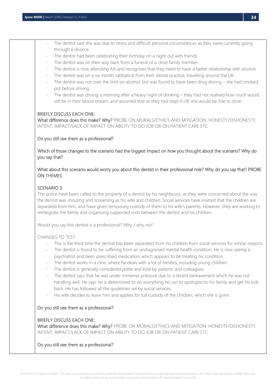- The dentist said this was due to stress and difficult personal circumstances as they were currently going through a divorce.
- The dentist had been celebrating their birthday on a night out with friends.
- The dentist was on their way back from a funeral of a close family member.
- The dentist is now attending AA and recognises that they need to have a better relationship with alcohol.
- The dentist was on a six month sabbatical from their dental practice, travelling around the UK.
- The dentist was not over the limit on alcohol, but was found to have been drug driving  $-$  she had smoked pot before driving.
- The dentist was driving a morning after a heavy night of drinking they had not realised how much would still be in their blood stream, and assumed that as they had slept it off, she would be fine to drive.

#### BRIEFLY DISCUSS EACH ONE:

What difference does this make? Why? PROBE ON MORALS/ETHICS AND MITIGATION: HONESTY/DISHONESTY, INTENT, IMPACT/LACK OF IMPACT ON ABILITY TO DO JOB OR ON PATIENT CARE ETC

#### Do you still see them as a professional?

Which of those changes to the scenario had the biggest impact on how you thought about the scenario? Why do you say that?

### What about this scenario would worry you about this dentist in their professional role? Why do you say that? PROBE ON THEMES

#### SCENARIO 3:

The police have been called to the property of a dentist by his neighbours, as they were concerned about the way the dentist was shouting and screaming as his wife and children. Social services have insisted that the children are separated from him, and have given temporary custody of them to his wife's parents. However, they are working to reintegrate the family and organising supported visits between the dentist and his children.

Would you say this dentist is a professional? Why / why not?

#### CHANGES TO TEST:

- This is the third time the dentist has been separated from his children from social services for similar reasons.
- The dentist is found to be suffering from an undiagnosed mental health condition. He is now seeing a psychiatrist and been prescribed medication, which appears to be treating his condition.
- The dentist works in a clinic where he deals with a lot of families, including young children.
- The dentist is generally considered polite and kind by patients and colleagues.
- The dentist says that he was under immense pressure due to a recent bereavement which he was not handling well. He says he is determined to do everything he can to apologise to his family and get his kids back. He has followed all the guidelines set by social services.
- His wife decides to leave him and applies for full custody of the children, which she is given.

#### Do you still see them as a professional?

#### BRIEFLY DISCUSS EACH ONE:

What difference does this make? Why? PROBE ON MORALS/ETHICS AND MITIGATION: HONESTY/DISHONESTY, INTENT, IMPACT/LACK OF IMPACT ON ABILITY TO DO JOB OR ON PATIENT CARE ETC

#### Do you still see them as a professional?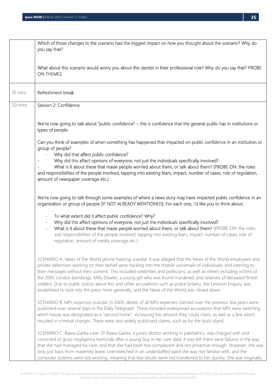|         | Which of those changes to the scenario had the biggest impact on how you thought about the scenario? Why do<br>you say that?                                                                                                                                                                                                                                                                                                                                                                                                                                                                                                                                                                         |
|---------|------------------------------------------------------------------------------------------------------------------------------------------------------------------------------------------------------------------------------------------------------------------------------------------------------------------------------------------------------------------------------------------------------------------------------------------------------------------------------------------------------------------------------------------------------------------------------------------------------------------------------------------------------------------------------------------------------|
|         | What about this scenario would worry you about this dentist in their professional role? Why do you say that? PROBE<br>ON THEMES                                                                                                                                                                                                                                                                                                                                                                                                                                                                                                                                                                      |
| 10 mins | Refreshment break                                                                                                                                                                                                                                                                                                                                                                                                                                                                                                                                                                                                                                                                                    |
| 50 mins | Session 2: Confidence                                                                                                                                                                                                                                                                                                                                                                                                                                                                                                                                                                                                                                                                                |
|         | We're now going to talk about "public confidence" - this is confidence that the general public has in institutions or<br>types of people.                                                                                                                                                                                                                                                                                                                                                                                                                                                                                                                                                            |
|         | Can you think of examples of when something has happened that impacted on public confidence in an institution or<br>group of people?<br>Why did that affect public confidence?                                                                                                                                                                                                                                                                                                                                                                                                                                                                                                                       |
|         | Why did this affect opinions of everyone, not just the individuals specifically involved?<br>What is it about these that made people worried about them, or talk about them? (PROBE ON: the roles<br>and responsibilities of the people involved, tapping into existing fears, impact, number of cases, role of regulation,<br>amount of newspaper coverage etc.)                                                                                                                                                                                                                                                                                                                                    |
|         | We're now going to talk through some examples of where a news story may have impacted public confidence in an<br>organisation or group of people [IF NOT ALREADY MENTIONED]. For each one, I'd like you to think about:                                                                                                                                                                                                                                                                                                                                                                                                                                                                              |
|         | To what extent did it affect public confidence? Why?<br>$\overline{\phantom{a}}$<br>Why did this affect opinions of everyone, not just the individuals specifically involved?<br>What is it about these that made people worried about them, or talk about them? (PROBE ON: the roles<br>$\overline{\phantom{a}}$<br>and responsibilities of the people involved, tapping into existing fears, impact, number of cases, role of<br>regulation, amount of media coverage etc.)                                                                                                                                                                                                                        |
|         | SCENARIO A: News of the World phone hacking scandal: It was alleged that the News of the World employees and<br>private detectives working on their behalf were hacking into the mobile voicemails of individuals, and listening to<br>their messages without their consent. This included celebrities and politicians, as well as others including victims of<br>the 2005 London bombings, Milly Dowler, a young girl who was found murdered, and relatives of deceased British<br>soldiers. Due to public outcry about this and other accusations such as police bribery, the Leveson Enquiry was<br>established to look into the press more generally, and the News of the World was closed down. |
|         | SCENARIO B: MPs expenses scandal: In 2009, details of all MPs expenses claimed over the previous few years were<br>published over several days in the Daily Telegraph. These included widespread accusations that MPs were switching<br>which house was designated as a "second home", increasing the amount they could claim, as well as a few which<br>resulted in criminal charges. There were also widely publicised claims, such as for the duck island.                                                                                                                                                                                                                                        |
|         | SCENARIO C: Bawa-Garba case: Dr Bawa-Garba, a junior doctor working in paediatrics, was charged with and<br>convicted of gross negligence homicide after a young boy in her care died. It was felt there were failures in the way<br>that she had managed his care, and that she had been too complacent and not proactive enough. However, she was<br>only just back from maternity leave, overstretched in an understaffed ward she was not familiar with, and the<br>computer systems were not working, meaning that test results were not transferred to her quickly. She was originally                                                                                                         |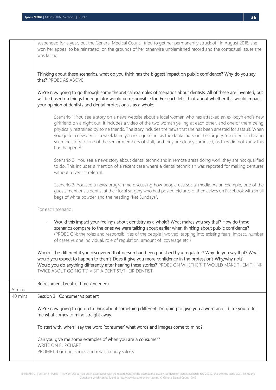|         | suspended for a year, but the General Medical Council tried to get her permanently struck off. In August 2018, she<br>won her appeal to be reinstated, on the grounds of her otherwise unblemished record and the contextual issues she<br>was facing.                                                                                                                                                                                                                                                                                                                                            |
|---------|---------------------------------------------------------------------------------------------------------------------------------------------------------------------------------------------------------------------------------------------------------------------------------------------------------------------------------------------------------------------------------------------------------------------------------------------------------------------------------------------------------------------------------------------------------------------------------------------------|
|         | Thinking about these scenarios, what do you think has the biggest impact on public confidence? Why do you say<br>that? PROBE AS ABOVE.                                                                                                                                                                                                                                                                                                                                                                                                                                                            |
|         | We're now going to go through some theoretical examples of scenarios about dentists. All of these are invented, but<br>will be based on things the regulator would be responsible for. For each let's think about whether this would impact<br>your opinion of dentists and dental professionals as a whole:                                                                                                                                                                                                                                                                                      |
|         | Scenario 1: You see a story on a news website about a local woman who has attacked an ex-boyfriend's new<br>girlfriend on a night out. It includes a video of the two woman yelling at each other, and one of them being<br>physically restrained by some friends. The story includes the news that she has been arrested for assault. When<br>you go to a new dentist a week later, you recognise her as the dental nurse in the surgery. You mention having<br>seen the story to one of the senior members of staff, and they are clearly surprised, as they did not know this<br>had happened. |
|         | Scenario 2: You see a news story about dental technicians in remote areas doing work they are not qualified<br>to do. This includes a mention of a recent case where a dental technician was reported for making dentures<br>without a Dentist referral.                                                                                                                                                                                                                                                                                                                                          |
|         | Scenario 3: You see a news programme discussing how people use social media. As an example, one of the<br>guests mentions a dentist at their local surgery who had posted pictures of themselves on Facebook with small<br>bags of white powder and the heading "Ket Sundays".                                                                                                                                                                                                                                                                                                                    |
|         | For each scenario:                                                                                                                                                                                                                                                                                                                                                                                                                                                                                                                                                                                |
|         | Would this impact your feelings about dentistry as a whole? What makes you say that? How do these<br>$\overline{\phantom{a}}$<br>scenarios compare to the ones we were talking about earlier when thinking about public confidence?<br>(PROBE ON: the roles and responsibilities of the people involved, tapping into existing fears, impact, number<br>of cases vs one individual, role of regulation, amount of coverage etc.)                                                                                                                                                                  |
|         | Would it be different if you discovered that person had been punished by a regulator? Why do you say that? What<br>would you expect to happen to them? Does it give you more confidence in the profession? Why/why not?<br>Would you do anything differently after hearing these stories? PROBE ON WHETHER IT WOULD MAKE THEM THINK<br>TWICE ABOUT GOING TO VISIT A DENTIST/THEIR DENTIST.                                                                                                                                                                                                        |
| 5 mins  | Refreshment break (if time / needed)                                                                                                                                                                                                                                                                                                                                                                                                                                                                                                                                                              |
| 40 mins | Session 3: Consumer vs patient                                                                                                                                                                                                                                                                                                                                                                                                                                                                                                                                                                    |
|         | We're now going to go on to think about something different. I'm going to give you a word and I'd like you to tell<br>me what comes to mind straight away.                                                                                                                                                                                                                                                                                                                                                                                                                                        |
|         | To start with, when I say the word 'consumer' what words and images come to mind?                                                                                                                                                                                                                                                                                                                                                                                                                                                                                                                 |
|         | Can you give me some examples of when you are a consumer?<br>WRITE ON FLIPCHART<br>PROMPT: banking, shops and retail, beauty salons.                                                                                                                                                                                                                                                                                                                                                                                                                                                              |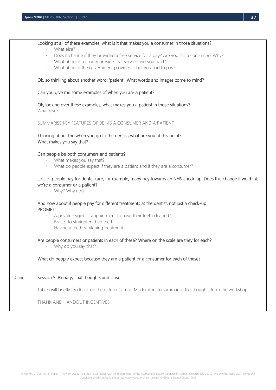|         | Looking at all of these examples, what is it that makes you a consumer in those situations?                                                       |
|---------|---------------------------------------------------------------------------------------------------------------------------------------------------|
|         | What else?                                                                                                                                        |
|         | Does it change if they provided a free service for a day? Are you still a consumer? Why?<br>$\overline{\phantom{a}}$                              |
|         | What about if a charity provide that service and you paid?<br>$\overline{\phantom{a}}$                                                            |
|         | What about if the government provided it but you had to pay?<br>$\overline{\phantom{a}}$                                                          |
|         |                                                                                                                                                   |
|         | Ok, so thinking about another word: 'patient'. What words and images come to mind?                                                                |
|         | Can you give me some examples of when you are a patient?                                                                                          |
|         | Ok, looking over these examples, what makes you a patient in those situations?<br>What else?                                                      |
|         | SUMMARISE KEY FEATURES OF BEING A CONSUMER AND A PATIENT                                                                                          |
|         | Thinning about the when you go to the dentist, what are you at this point?<br>What makes you say that?                                            |
|         | Can people be both consumers and patients?<br>What makes you say that?                                                                            |
|         | What do people expect if they are a patient and if they are a consumer?                                                                           |
|         | Lots of people pay for dental care, for example, many pay towards an NHS check-up. Does this change if we think<br>we're a consumer or a patient? |
|         | Why? Why not?                                                                                                                                     |
|         | And how about if people pay for different treatments at the dentist, not just a check-up.<br>PROMPT:                                              |
|         | A private hygienist appointment to have their teeth cleaned?                                                                                      |
|         | Braces to straighten their teeth<br>$\equiv$                                                                                                      |
|         | Having a teeth-whitening treatment<br>$\overline{\phantom{a}}$                                                                                    |
|         |                                                                                                                                                   |
|         | Are people consumers or patients in each of these? Where on the scale are they for each?<br>Why do you say that?                                  |
|         | What do people expect because they are a patient or a consumer for each of these?                                                                 |
|         |                                                                                                                                                   |
| 10 mins | Session 5: Plenary, final thoughts and close                                                                                                      |
|         | Tables will briefly feedback on the different areas. Moderators to summarise the thoughts from the workshop.                                      |
|         | THANK AND HANDOUT INCENTIVES                                                                                                                      |